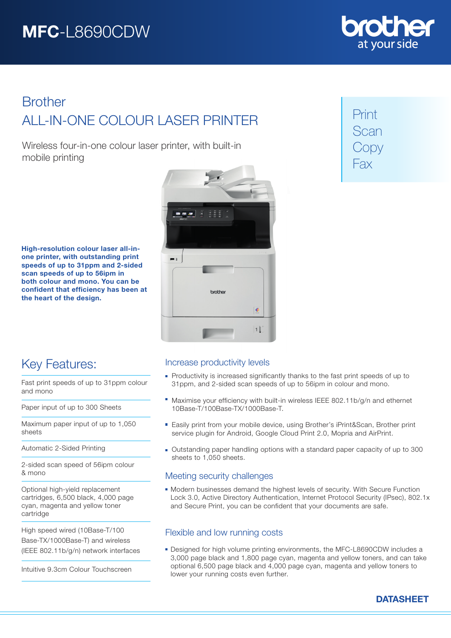

# ALL-IN-ONE COLOUR LASER PRINTER **Brother**

Wireless four-in-one colour laser printer, with built-in mobile printing

Print Scan Copy Fax

High-resolution colour laser all-inone printer, with outstanding print speeds of up to 31ppm and 2-sided scan speeds of up to 56ipm in both colour and mono. You can be confident that efficiency has been at the heart of the design.



# Key Features:

Fast print speeds of up to 31ppm colour and mono

Paper input of up to 300 Sheets

Maximum paper input of up to 1,050 sheets

Automatic 2-Sided Printing

2-sided scan speed of 56ipm colour & mono

Optional high-yield replacement cartridges, 6,500 black, 4,000 page cyan, magenta and yellow toner cartridge

High speed wired (10Base-T/100 Base-TX/1000Base-T) and wireless (IEEE 802.11b/g/n) network interfaces

Intuitive 9.3cm Colour Touchscreen

# Increase productivity levels

- **Productivity is increased significantly thanks to the fast print speeds of up to** 31ppm, and 2-sided scan speeds of up to 56ipm in colour and mono.
- Maximise your efficiency with built-in wireless IEEE 802.11b/g/n and ethernet 10Base-T/100Base-TX/1000Base-T.
- Easily print from your mobile device, using Brother's iPrint&Scan, Brother print service plugin for Android, Google Cloud Print 2.0, Mopria and AirPrint.
- Outstanding paper handling options with a standard paper capacity of up to 300 sheets to 1,050 sheets.

# Meeting security challenges

Modern businesses demand the highest levels of security. With Secure Function Lock 3.0, Active Directory Authentication, Internet Protocol Security (IPsec), 802.1x and Secure Print, you can be confident that your documents are safe.

# Flexible and low running costs

Designed for high volume printing environments, the MFC-L8690CDW includes a 3,000 page black and 1,800 page cyan, magenta and yellow toners, and can take optional 6,500 page black and 4,000 page cyan, magenta and yellow toners to lower your running costs even further.

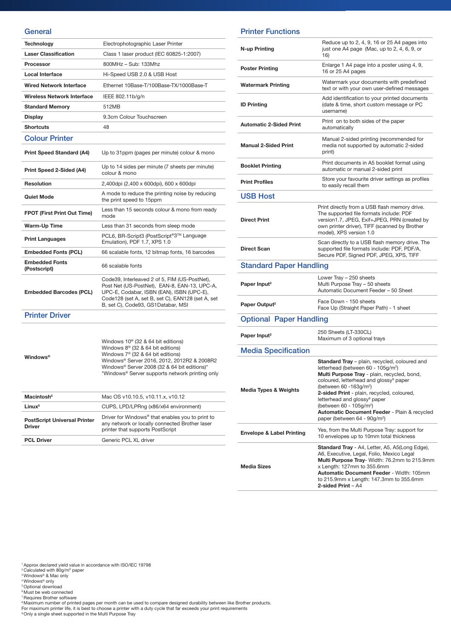#### **General**

| <b>Technology</b>                     | Electrophotographic Laser Printer                                                                                                                                                                                                     |
|---------------------------------------|---------------------------------------------------------------------------------------------------------------------------------------------------------------------------------------------------------------------------------------|
| <b>Laser Classification</b>           | Class 1 laser product (IEC 60825-1:2007)                                                                                                                                                                                              |
| Processor                             | 800MHz - Sub: 133Mhz                                                                                                                                                                                                                  |
| Local Interface                       | Hi-Speed USB 2.0 & USB Host                                                                                                                                                                                                           |
| Wired Network Interface               | Ethernet 10Base-T/100Base-TX/1000Base-T                                                                                                                                                                                               |
| Wireless Network Interface            | IEEE 802.11b/g/n                                                                                                                                                                                                                      |
| <b>Standard Memory</b>                | 512MB                                                                                                                                                                                                                                 |
| Display                               | 9.3cm Colour Touchscreen                                                                                                                                                                                                              |
| <b>Shortcuts</b>                      | 48                                                                                                                                                                                                                                    |
| <b>Colour Printer</b>                 |                                                                                                                                                                                                                                       |
| <b>Print Speed Standard (A4)</b>      | Up to 31ppm (pages per minute) colour & mono                                                                                                                                                                                          |
| Print Speed 2-Sided (A4)              | Up to 14 sides per minute (7 sheets per minute)<br>colour & mono                                                                                                                                                                      |
| <b>Resolution</b>                     | 2,400dpi (2,400 x 600dpi), 600 x 600dpi                                                                                                                                                                                               |
| <b>Quiet Mode</b>                     | A mode to reduce the printing noise by reducing<br>the print speed to 15ppm                                                                                                                                                           |
| <b>FPOT (First Print Out Time)</b>    | Less than 15 seconds colour & mono from ready<br>mode                                                                                                                                                                                 |
| <b>Warm-Up Time</b>                   | Less than 31 seconds from sleep mode                                                                                                                                                                                                  |
| <b>Print Languages</b>                | PCL6, BR-Script3 (PostScript®3™ Language<br>Emulation), PDF 1.7, XPS 1.0                                                                                                                                                              |
| <b>Embedded Fonts (PCL)</b>           | 66 scalable fonts, 12 bitmap fonts, 16 barcodes                                                                                                                                                                                       |
| <b>Embedded Fonts</b><br>(Postscript) | 66 scalable fonts                                                                                                                                                                                                                     |
| <b>Embedded Barcodes (PCL)</b>        | Code39, Interleaved 2 of 5, FIM (US-PostNet),<br>Post Net (US-PostNet), EAN-8, EAN-13, UPC-A,<br>UPC-E, Codabar, ISBN (EAN), ISBN (UPC-E),<br>Code128 (set A, set B, set C), EAN128 (set A, set<br>B, set C), Code93, GS1Databar, MSI |
| <b>Printer Driver</b>                 |                                                                                                                                                                                                                                       |
|                                       |                                                                                                                                                                                                                                       |

Windows®

Windows 10® (32 & 64 bit editions) Windows 8® (32 & 64 bit editions) Windows 7® (32 & 64 bit editions) Windows® Server 2016, 2012, 2012R2 & 2008R2 Windows® Server 2008 (32 & 64 bit editions)\* \*Windows® Server supports network printing only

| Macintosh <sup>5</sup>                               | Mac OS v10.10.5, v10.11.x, v10.12                                                                                                                  |
|------------------------------------------------------|----------------------------------------------------------------------------------------------------------------------------------------------------|
| Linux <sup>5</sup>                                   | CUPS, LPD/LPRng (x86/x64 environment)                                                                                                              |
| <b>PostScript Universal Printer</b><br><b>Driver</b> | Driver for Windows <sup>®</sup> that enables you to print to<br>any network or locally connected Brother laser<br>printer that supports PostScript |
| <b>PCL Driver</b>                                    | Generic PCL XL driver                                                                                                                              |

### Printer Functions

| N-up Printing                        | Reduce up to 2, 4, 9, 16 or 25 A4 pages into<br>just one A4 page (Mac, up to 2, 4, 6, 9, or<br>16)                                                                                                                                                                                                                                                                                                                                                                      |
|--------------------------------------|-------------------------------------------------------------------------------------------------------------------------------------------------------------------------------------------------------------------------------------------------------------------------------------------------------------------------------------------------------------------------------------------------------------------------------------------------------------------------|
| <b>Poster Printing</b>               | Enlarge 1 A4 page into a poster using 4, 9,<br>16 or 25 A4 pages                                                                                                                                                                                                                                                                                                                                                                                                        |
| <b>Watermark Printing</b>            | Watermark your documents with predefined<br>text or with your own user-defined messages                                                                                                                                                                                                                                                                                                                                                                                 |
| <b>ID Printing</b>                   | Add identification to your printed documents<br>(date & time, short custom message or PC<br>username)                                                                                                                                                                                                                                                                                                                                                                   |
| <b>Automatic 2-Sided Print</b>       | Print on to both sides of the paper<br>automatically                                                                                                                                                                                                                                                                                                                                                                                                                    |
| <b>Manual 2-Sided Print</b>          | Manual 2-sided printing (recommended for<br>media not supported by automatic 2-sided<br>print)                                                                                                                                                                                                                                                                                                                                                                          |
| <b>Booklet Printing</b>              | Print documents in A5 booklet format using<br>automatic or manual 2-sided print                                                                                                                                                                                                                                                                                                                                                                                         |
| <b>Print Profiles</b>                | Store your favourite driver settings as profiles<br>to easily recall them                                                                                                                                                                                                                                                                                                                                                                                               |
| <b>USB Host</b>                      |                                                                                                                                                                                                                                                                                                                                                                                                                                                                         |
| <b>Direct Print</b>                  | Print directly from a USB flash memory drive.<br>The supported file formats include: PDF<br>version1.7, JPEG, Exif+JPEG, PRN (created by<br>own printer driver), TIFF (scanned by Brother<br>model), XPS version 1.0                                                                                                                                                                                                                                                    |
| <b>Direct Scan</b>                   | Scan directly to a USB flash memory drive. The<br>supported file formats include: PDF, PDF/A,<br>Secure PDF, Signed PDF, JPEG, XPS, TIFF                                                                                                                                                                                                                                                                                                                                |
| <b>Standard Paper Handling</b>       |                                                                                                                                                                                                                                                                                                                                                                                                                                                                         |
| Paper Input <sup>2</sup>             | Lower Tray - 250 sheets<br>Multi Purpose Tray - 50 sheets<br>Automatic Document Feeder - 50 Sheet                                                                                                                                                                                                                                                                                                                                                                       |
| Paper Output <sup>2</sup>            | Face Down - 150 sheets<br>Face Up (Straight Paper Path) - 1 sheet                                                                                                                                                                                                                                                                                                                                                                                                       |
| <b>Optional Paper Handling</b>       |                                                                                                                                                                                                                                                                                                                                                                                                                                                                         |
| Paper Input <sup>2</sup>             | 250 Sheets (LT-330CL)<br>Maximum of 3 optional trays                                                                                                                                                                                                                                                                                                                                                                                                                    |
| <b>Media Specification</b>           |                                                                                                                                                                                                                                                                                                                                                                                                                                                                         |
| <b>Media Types &amp; Weights</b>     | Standard Tray - plain, recycled, coloured and<br>letterhead (between 60 - 105q/m <sup>2</sup> )<br>Multi Purpose Tray - plain, recycled, bond,<br>coloured, letterhead and glossy <sup>9</sup> paper<br>(between 60 -163g/m <sup>2</sup> )<br>2-sided Print - plain, recycled, coloured,<br>letterhead and glossy <sup>9</sup> paper<br>(between 60 - 105g/m <sup>2</sup> )<br>Automatic Document Feeder - Plain & recycled<br>paper (between 64 - 90g/m <sup>2</sup> ) |
| <b>Envelope &amp; Label Printing</b> | Yes, from the Multi Purpose Tray: support for<br>10 envelopes up to 10mm total thickness                                                                                                                                                                                                                                                                                                                                                                                |
| <b>Media Sizes</b>                   | Standard Tray - A4, Letter, A5, A5(Long Edge),<br>A6, Executive, Legal, Folio, Mexico Legal<br>Multi Purpose Tray- Width: 76.2mm to 215.9mm<br>x Length: 127mm to 355.6mm<br>Automatic Document Feeder - Width: 105mm<br>to 215.9mm x Length: 147.3mm to 355.6mm<br>2-sided Print - A4                                                                                                                                                                                  |

<sup>1</sup> Approx declared yield value in accordance with ISO/IEC 19798<br><sup>2</sup> Calculated with 80g/m<sup>2</sup> paper

- 
- <sup>3</sup> Windows® & Mac only<br><sup>4</sup> Windows® only
- 

<sup>5</sup> Optional download<br><sup>6</sup> Must be web connected

- 7 Requires Brother software
- 
- ®Maximum number of printed pages per month can be used to compare designed durability between like Brother products.<br>For maximum printer life, it is best to choose a printer with a duty cycle that far exceeds your print re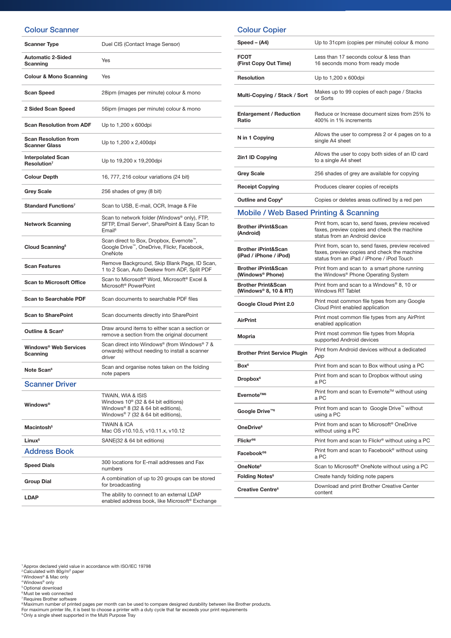## Colour Scanner

| <b>Scanner Type</b>                                 | Duel CIS (Contact Image Sensor)                                                                                                                 |
|-----------------------------------------------------|-------------------------------------------------------------------------------------------------------------------------------------------------|
| <b>Automatic 2-Sided</b><br>Scanning                | Yes                                                                                                                                             |
| <b>Colour &amp; Mono Scanning</b>                   | Yes                                                                                                                                             |
| <b>Scan Speed</b>                                   | 28ipm (images per minute) colour & mono                                                                                                         |
| 2 Sided Scan Speed                                  | 56ipm (images per minute) colour & mono                                                                                                         |
| <b>Scan Resolution from ADF</b>                     | Up to 1,200 x 600dpi                                                                                                                            |
| <b>Scan Resolution from</b><br><b>Scanner Glass</b> | Up to 1,200 x 2,400dpi                                                                                                                          |
| <b>Interpolated Scan</b><br>Resolution <sup>7</sup> | Up to 19,200 x 19,200dpi                                                                                                                        |
| <b>Colour Depth</b>                                 | 16, 777, 216 colour variations (24 bit)                                                                                                         |
| <b>Grey Scale</b>                                   | 256 shades of grey (8 bit)                                                                                                                      |
| <b>Standard Functions<sup>7</sup></b>               | Scan to USB, E-mail, OCR, Image & File                                                                                                          |
| <b>Network Scanning</b>                             | Scan to network folder (Windows® only), FTP,<br>SFTP, Email Server <sup>5</sup> , SharePoint & Easy Scan to<br>Email <sup>6</sup>               |
| Cloud Scanning <sup>6</sup>                         | Scan direct to Box, Dropbox, Evernote <sup>™</sup> ,<br>Google Drive™, OneDrive, Flickr, Facebook,<br>OneNote                                   |
| <b>Scan Features</b>                                | Remove Background, Skip Blank Page, ID Scan,<br>1 to 2 Scan, Auto Deskew from ADF, Split PDF                                                    |
| <b>Scan to Microsoft Office</b>                     | Scan to Microsoft <sup>®</sup> Word, Microsoft <sup>®</sup> Excel &<br>Microsoft <sup>®</sup> PowerPoint                                        |
| <b>Scan to Searchable PDF</b>                       | Scan documents to searchable PDF files                                                                                                          |
| <b>Scan to SharePoint</b>                           | Scan documents directly into SharePoint                                                                                                         |
| Outline & Scan <sup>6</sup>                         | Draw around items to either scan a section or<br>remove a section from the original document                                                    |
| Windows <sup>®</sup> Web Services<br>Scanning       | Scan direct into Windows® (from Windows® 7 &<br>onwards) without needing to install a scanner<br>driver                                         |
| Note Scan <sup>6</sup>                              | Scan and organise notes taken on the folding<br>note papers                                                                                     |
| <b>Scanner Driver</b>                               |                                                                                                                                                 |
| <b>Windows</b> <sup>®</sup>                         | TWAIN, WIA & ISIS<br>Windows 10 <sup>®</sup> (32 & 64 bit editions)<br>Windows® 8 (32 & 64 bit editions),<br>Windows® 7 (32 & 64 bit editions), |
| Macintosh <sup>5</sup>                              | <b>TWAIN &amp; ICA</b><br>Mac OS v10.10.5, v10.11.x, v10.12                                                                                     |
| Linux <sup>5</sup>                                  | SANE(32 & 64 bit editions)                                                                                                                      |
| <b>Address Book</b>                                 |                                                                                                                                                 |
| <b>Speed Dials</b>                                  | 300 locations for E-mail addresses and Fax<br>numbers                                                                                           |
| <b>Group Dial</b>                                   | A combination of up to 20 groups can be stored<br>for broadcasting                                                                              |
| <b>LDAP</b>                                         | The ability to connect to an external LDAP<br>enabled address book, like Microsoft® Exchange                                                    |

| <b>Colour Copier</b> |  |
|----------------------|--|
|                      |  |

| Speed – (A4)                                                       | Up to 31cpm (copies per minute) colour & mono                                                                                                 |
|--------------------------------------------------------------------|-----------------------------------------------------------------------------------------------------------------------------------------------|
| <b>FCOT</b><br>(First Copy Out Time)                               | Less than 17 seconds colour & less than<br>16 seconds mono from ready mode                                                                    |
| <b>Resolution</b>                                                  | Up to 1,200 x 600dpi                                                                                                                          |
| Multi-Copying / Stack / Sort                                       | Makes up to 99 copies of each page / Stacks<br>or Sorts                                                                                       |
| <b>Enlargement / Reduction</b><br>Ratio                            | Reduce or Increase document sizes from 25% to<br>400% in 1% increments                                                                        |
| N in 1 Copying                                                     | Allows the user to compress 2 or 4 pages on to a<br>single A4 sheet                                                                           |
| 2in1 ID Copying                                                    | Allows the user to copy both sides of an ID card<br>to a single A4 sheet                                                                      |
| <b>Grey Scale</b>                                                  | 256 shades of grey are available for copying                                                                                                  |
| <b>Receipt Copying</b>                                             | Produces clearer copies of receipts                                                                                                           |
| Outline and Copy <sup>6</sup>                                      | Copies or deletes areas outlined by a red pen                                                                                                 |
| <b>Mobile / Web Based Printing &amp; Scanning</b>                  |                                                                                                                                               |
| <b>Brother iPrint&amp;Scan</b><br>(Android)                        | Print from, scan to, send faxes, preview received<br>faxes, preview copies and check the machine<br>status from an Android device             |
| <b>Brother iPrint&amp;Scan</b><br>(iPad / iPhone / iPod)           | Print from, scan to, send faxes, preview received<br>faxes, preview copies and check the machine<br>status from an iPad / iPhone / iPod Touch |
| <b>Brother iPrint&amp;Scan</b><br>(Windows <sup>®</sup> Phone)     | Print from and scan to a smart phone running<br>the Windows® Phone Operating System                                                           |
| <b>Brother Print&amp;Scan</b><br>(Windows <sup>®</sup> 8, 10 & RT) | Print from and scan to a Windows® 8, 10 or<br>Windows RT Tablet                                                                               |
| Google Cloud Print 2.0                                             | Print most common file types from any Google<br>Cloud Print enabled application                                                               |
| AirPrint                                                           | Print most common file types from any AirPrint<br>enabled application                                                                         |
| Mopria                                                             | Print most common file types from Mopria<br>supported Android devices                                                                         |
| <b>Brother Print Service Plugin</b>                                | Print from Android devices without a dedicated<br>App                                                                                         |
| Box <sup>6</sup>                                                   | Print from and scan to Box without using a PC                                                                                                 |
| Dropbox <sup>6</sup>                                               | Print from and scan to Dropbox without using<br>a PC                                                                                          |
| Evernote™ <sup>6</sup>                                             | Print from and scan to Evernote™ without using<br>a PC                                                                                        |
| Google Drive <sup>™6</sup>                                         | Print from and scan to Google Drive™ without<br>using a PC                                                                                    |
| OneDrive <sup>6</sup>                                              | Print from and scan to Microsoft <sup>®</sup> OneDrive<br>without using a PC                                                                  |
| Flickr®6                                                           | Print from and scan to Flickr <sup>®</sup> without using a PC                                                                                 |
| Facebook®6                                                         | Print from and scan to Facebook <sup>®</sup> without using<br>a PC                                                                            |
| OneNote <sup>6</sup>                                               | Scan to Microsoft <sup>®</sup> OneNote without using a PC                                                                                     |
| Folding Notes <sup>6</sup>                                         | Create handy folding note papers                                                                                                              |
| Creative Centre <sup>6</sup>                                       | Download and print Brother Creative Center<br>content                                                                                         |

" Approx declared yield value in accordance with ISO/IEC 19798<br>" Calculated with 80g/m<sup>2</sup> paper<br>" Windows" & Mac only<br>" Windows" only<br>" Optional download<br>" Must be web connected<br>" Requires Brother software<br>" Maximum number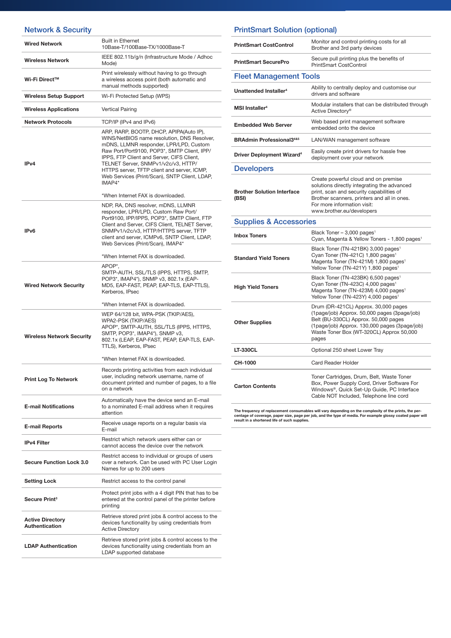#### Network & Security Wired Network Built in Ethernet 10Base-T/100Base-TX/1000Base-T Wireless Network IEEE 802.11b/g/n (Infrastructure Mode / Adhoc Mode) Wi-Fi Direct™ Print wirelessly without having to go through a wireless access point (both automatic and manual methods supported) Wireless Setup Support Wi-Fi Protected Setup (WPS) Wireless Applications Vertical Pairing Network Protocols TCP/IP (IPv4 and IPv6) IPv4 ARP, RARP, BOOTP, DHCP, APIPA(Auto IP), WINS/NetBIOS name resolution, DNS Resolver, mDNS, LLMNR responder, LPR/LPD, Custom Raw Port/Port9100, POP3\*, SMTP Client, IPP/ IPPS, FTP Client and Server, CIFS Client, TELNET Server, SNMPv1/v2c/v3, HTTP/ HTTPS server, TFTP client and server, ICMP, Web Services (Print/Scan), SNTP Client, LDAP, IMAP4\* \*When Internet FAX is downloaded. IPv6 NDP, RA, DNS resolver, mDNS, LLMNR responder, LPR/LPD, Custom Raw Port/ Port9100, IPP/IPPS, POP3\*, SMTP Client, FTP Client and Server, CIFS Client, TELNET Server, SNMPv1/v2c/v3, HTTP/HTTPS server, TFTP client and server, ICMPv6, SNTP Client, LDAP, Web Services (Print/Scan), IMAP4\* \*When Internet FAX is downloaded. Wired Network Security APOP<sup>\*</sup> SMTP-AUTH, SSL/TLS (IPPS, HTTPS, SMTP, POP3\*, IMAP4\*), SNMP v3, 802.1x (EAP-MD5, EAP-FAST, PEAP, EAP-TLS, EAP-TTLS), Kerberos, IPsec \*When Internet FAX is downloaded. Wireless Network Security WEP 64/128 bit, WPA-PSK (TKIP/AES), WPA2-PSK (TKIP/AES) APOP\*, SMTP-AUTH, SSL/TLS (IPPS, HTTPS, SMTP, POP3\*, IMAP4\*), SNMP v3, 802.1x (LEAP, EAP-FAST, PEAP, EAP-TLS, EAP-TTLS), Kerberos, IPsec \*When Internet FAX is downloaded. Print Log To Network Records printing activities from each individual user, including network username, name of document printed and number of pages, to a file on a network E-mail Notifications Automatically have the device send an E-mail to a nominated E-mail address when it requires attention E-mail Reports **Receive usage reports on a regular basis via**<br>
F x = xill E-mail **IPv4 Filter** Restrict which network users either can or cannot access the device over the network Secure Function Lock 3.0 Restrict access to individual or groups of users over a network. Can be used with PC User Login Names for up to 200 users Setting Lock Restrict access to the control panel Secure Print3 Protect print jobs with a 4 digit PIN that has to be entered at the control panel of the printer before printing Active Directory Retrieve stored print jobs & control access to the

#### Active Directory LDAP Authentication Retrieve stored print jobs & control access to the devices functionality using credentials from an LDAP supported database

devices functionality by using credentials from

Authentication

#### Fleet Management Tools Unattended Installer4 Ability to centrally deploy and customise our drivers and software Modular installers that can be distributed through Modular installers that can be distributed through Active Directory® Embedded Web Server Web based print management software embedded onto the device BRAdmin Professional3<sup>4&5</sup> LAN/WAN management software **Driver Deployment Wizard4** Easily create print drivers for hassle free deployment over your network Supplies & Accessories Inbox Toners Black Toner – 3,000 pages<sup>1</sup> **PrintSmart CostControl Monitor and control printing costs for all** Brother and 3rd party devices **PrintSmart SecurePro** Secure pull printing plus the benefits of PrintSmart CostControl **Developers** Brother Solution Interface (BSI) Create powerful cloud and on premise solutions directly integrating the advanced print, scan and security capabilities of Brother scanners, printers and all in ones. For more information visit: www.brother.eu/developers

PrintSmart Solution (optional)

|                              | Cyan, Magenta & Yellow Toners - 1,800 pages <sup>1</sup>                                                                                                                                                                             |
|------------------------------|--------------------------------------------------------------------------------------------------------------------------------------------------------------------------------------------------------------------------------------|
| <b>Standard Yield Toners</b> | Black Toner (TN-421BK) 3,000 pages <sup>1</sup><br>Cyan Toner (TN-421C) 1,800 pages <sup>1</sup><br>Magenta Toner (TN-421M) 1,800 pages <sup>1</sup><br>Yellow Toner (TN-421Y) 1,800 pages <sup>1</sup>                              |
| <b>High Yield Toners</b>     | Black Toner (TN-423BK) 6,500 pages <sup>1</sup><br>Cyan Toner (TN-423C) 4,000 pages <sup>1</sup><br>Magenta Toner (TN-423M) 4,000 pages <sup>1</sup><br>Yellow Toner (TN-423Y) 4,000 pages <sup>1</sup>                              |
| <b>Other Supplies</b>        | Drum (DR-421CL) Approx. 30,000 pages<br>(1 page/job) Approx. 50,000 pages (3 page/job)<br>Belt (BU-330CL) Approx. 50,000 pages<br>(1page/job) Approx. 130,000 pages (3page/job)<br>Waste Toner Box (WT-320CL) Approx 50,000<br>pages |
| <b>LT-330CL</b>              | Optional 250 sheet Lower Tray                                                                                                                                                                                                        |
| CH-1000                      | Card Reader Holder                                                                                                                                                                                                                   |
| <b>Carton Contents</b>       | Toner Cartridges, Drum, Belt, Waste Toner<br>Box, Power Supply Cord, Driver Software For<br>Windows®, Quick Set-Up Guide, PC Interface<br>Cable NOT Included. Telephone line cord                                                    |

The frequency of replacement consumables will vary depending on the complexity of the prints, the percentage of coverage, paper size, page per job, and the type of media. For example glossy coated paper will result in a shortened life of such supplies.